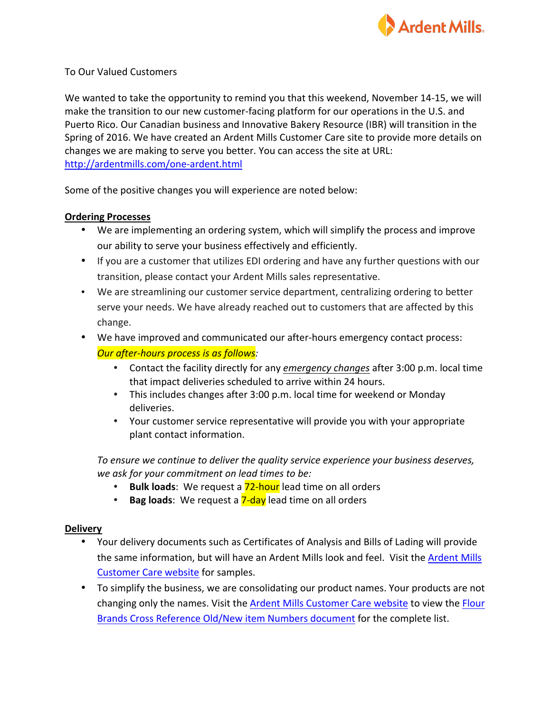

## To Our Valued Customers

We wanted to take the opportunity to remind you that this weekend, November 14-15, we will make the transition to our new customer-facing platform for our operations in the U.S. and Puerto Rico. Our Canadian business and Innovative Bakery Resource (IBR) will transition in the Spring of 2016. We have created an Ardent Mills Customer Care site to provide more details on changes we are making to serve you better. You can access the site at URL: http://ardentmills.com/one-ardent.html

Some of the positive changes you will experience are noted below:

## **Ordering Processes**

- We are implementing an ordering system, which will simplify the process and improve our ability to serve your business effectively and efficiently.
- If you are a customer that utilizes EDI ordering and have any further questions with our transition, please contact your Ardent Mills sales representative.
- We are streamlining our customer service department, centralizing ordering to better serve your needs. We have already reached out to customers that are affected by this change.
- We have improved and communicated our after-hours emergency contact process: *<u>Our after-hours process is as follows:</u>* 
	- Contact the facility directly for any *emergency changes* after 3:00 p.m. local time that impact deliveries scheduled to arrive within 24 hours.
	- This includes changes after 3:00 p.m. local time for weekend or Monday deliveries.
	- Your customer service representative will provide you with your appropriate plant contact information.

To ensure we continue to deliver the quality service experience your business deserves, *we ask for your commitment on lead times to be:*

- **Bulk loads**: We request a **72-hour** lead time on all orders
- **Bag loads**: We request a **7-day** lead time on all orders

## **Delivery**

- Your delivery documents such as Certificates of Analysis and Bills of Lading will provide the same information, but will have an Ardent Mills look and feel. Visit the Ardent Mills Customer Care website for samples.
- To simplify the business, we are consolidating our product names. Your products are not changing only the names. Visit the Ardent Mills Customer Care website to view the Flour Brands Cross Reference Old/New item Numbers document for the complete list.